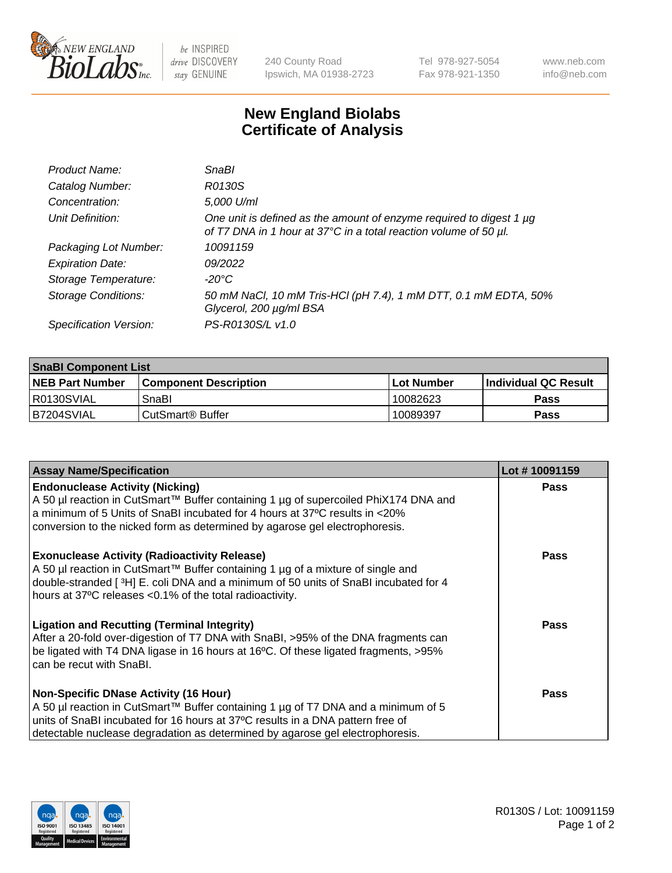

 $be$  INSPIRED drive DISCOVERY stay GENUINE

240 County Road Ipswich, MA 01938-2723 Tel 978-927-5054 Fax 978-921-1350 www.neb.com info@neb.com

## **New England Biolabs Certificate of Analysis**

| Product Name:              | <b>SnaBl</b>                                                                                                                            |
|----------------------------|-----------------------------------------------------------------------------------------------------------------------------------------|
| Catalog Number:            | R0130S                                                                                                                                  |
| Concentration:             | 5,000 U/ml                                                                                                                              |
| Unit Definition:           | One unit is defined as the amount of enzyme required to digest 1 µg<br>of T7 DNA in 1 hour at 37°C in a total reaction volume of 50 µl. |
| Packaging Lot Number:      | 10091159                                                                                                                                |
| <b>Expiration Date:</b>    | 09/2022                                                                                                                                 |
| Storage Temperature:       | $-20^{\circ}$ C                                                                                                                         |
| <b>Storage Conditions:</b> | 50 mM NaCl, 10 mM Tris-HCl (pH 7.4), 1 mM DTT, 0.1 mM EDTA, 50%<br>Glycerol, 200 µg/ml BSA                                              |
| Specification Version:     | PS-R0130S/L v1.0                                                                                                                        |

| <b>SnaBI Component List</b> |                         |              |                             |  |
|-----------------------------|-------------------------|--------------|-----------------------------|--|
| <b>NEB Part Number</b>      | l Component Description | l Lot Number | <b>Individual QC Result</b> |  |
| R0130SVIAL                  | SnaBl                   | 10082623     | Pass                        |  |
| B7204SVIAL                  | l CutSmart® Buffer_     | 10089397     | Pass                        |  |

| <b>Assay Name/Specification</b>                                                                                                                                                                                                                                                                      | Lot #10091159 |
|------------------------------------------------------------------------------------------------------------------------------------------------------------------------------------------------------------------------------------------------------------------------------------------------------|---------------|
| <b>Endonuclease Activity (Nicking)</b><br>A 50 µl reaction in CutSmart™ Buffer containing 1 µg of supercoiled PhiX174 DNA and<br>a minimum of 5 Units of SnaBI incubated for 4 hours at 37°C results in <20%<br>conversion to the nicked form as determined by agarose gel electrophoresis.          | Pass          |
| <b>Exonuclease Activity (Radioactivity Release)</b><br>A 50 µl reaction in CutSmart™ Buffer containing 1 µg of a mixture of single and<br>double-stranded [3H] E. coli DNA and a minimum of 50 units of SnaBI incubated for 4<br>hours at 37°C releases <0.1% of the total radioactivity.            | <b>Pass</b>   |
| <b>Ligation and Recutting (Terminal Integrity)</b><br>After a 20-fold over-digestion of T7 DNA with SnaBI, >95% of the DNA fragments can<br>be ligated with T4 DNA ligase in 16 hours at 16°C. Of these ligated fragments, >95%<br>can be recut with SnaBI.                                          | <b>Pass</b>   |
| <b>Non-Specific DNase Activity (16 Hour)</b><br>A 50 µl reaction in CutSmart™ Buffer containing 1 µg of T7 DNA and a minimum of 5<br>units of SnaBI incubated for 16 hours at 37°C results in a DNA pattern free of<br>detectable nuclease degradation as determined by agarose gel electrophoresis. | Pass          |